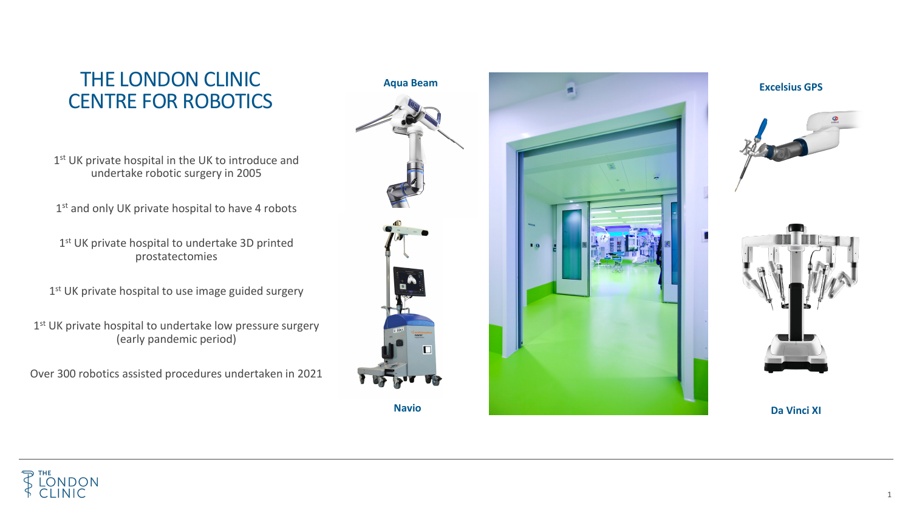1

## THE LONDON CLINIC CENTRE FOR ROBOTICS

1<sup>st</sup> UK private hospital in the UK to introduce and undertake robotic surgery in 2005

1<sup>st</sup> and only UK private hospital to have 4 robots

1<sup>st</sup> UK private hospital to undertake 3D printed prostatectomies

1<sup>st</sup> UK private hospital to use image guided surgery

1st UK private hospital to undertake low pressure surgery (early pandemic period)

Over 300 robotics assisted procedures undertaken in 2021



## **Aqua Beam**



**Da Vinci XI**

**Excelsius GPS**



**Navio**